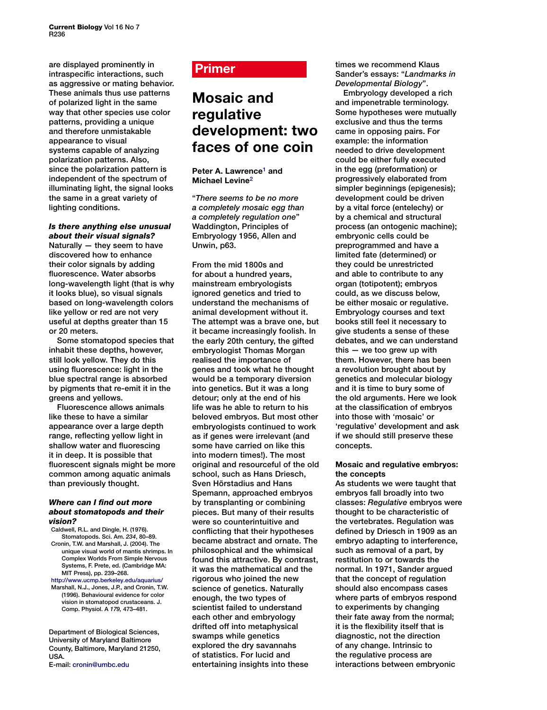are displayed prominently in intraspecific interactions, such as aggressive or mating behavior. These animals thus use patterns of polarized light in the same way that other species use color patterns, providing a unique and therefore unmistakable appearance to visual systems capable of analyzing polarization patterns. Also, since the polarization pattern is independent of the spectrum of illuminating light, the signal looks the same in a great variety of lighting conditions.

#### *Is there anything else unusual about their visual signals?*

Naturally — they seem to have discovered how to enhance their color signals by adding fluorescence. Water absorbs long-wavelength light (that is why it looks blue), so visual signals based on long-wavelength colors like yellow or red are not very useful at depths greater than 15 or 20 meters.

Some stomatopod species that inhabit these depths, however, still look yellow. They do this using fluorescence: light in the blue spectral range is absorbed by pigments that re-emit it in the greens and yellows.

Fluorescence allows animals like these to have a similar appearance over a large depth range, reflecting yellow light in shallow water and fluorescing it in deep. It is possible that fluorescent signals might be more common among aquatic animals than previously thought.

#### *Where can I find out more about stomatopods and their vision?*

Caldwell, R.L. and Dingle, H. (1976). Stomatopods. Sci. Am. *234*, 80–89. Cronin, T.W. and Marshall, J. (2004). The unique visual world of mantis shrimps. In Complex Worlds From Simple Nervous Systems, F. Prete, ed. (Cambridge MA: MIT Press), pp. 239–268.

<http://www.ucmp.berkeley.edu/aquarius/> Marshall, N.J., Jones, J.P., and Cronin, T.W. (1996). Behavioural evidence for color vision in stomatopod crustaceans. J. Comp. Physiol. A *179,* 473–481.

Department of Biological Sciences, University of Maryland Baltimore County, Baltimore, Maryland 21250, USA.

E-mail: [cronin@umbc.edu](mailto:cronin@umbc.edu)

# **Mosaic and regulative development: two faces of one coin**

### **Peter A. Lawrence**[1](#page-3-0) **and Michael Levine**[2](#page-3-1)

"*There seems to be no more a completely mosaic egg than a completely regulation one*" Waddington, Principles of Embryology 1956, Allen and Unwin, p63.

From the mid 1800s and for about a hundred years, mainstream embryologists ignored genetics and tried to understand the mechanisms of animal development without it. The attempt was a brave one, but it became increasingly foolish. In the early 20th century, the gifted embryologist Thomas Morgan realised the importance of genes and took what he thought would be a temporary diversion into genetics. But it was a long detour; only at the end of his life was he able to return to his beloved embryos. But most other embryologists continued to work as if genes were irrelevant (and some have carried on like this into modern times!). The most original and resourceful of the old school, such as Hans Driesch, Sven Hörstadius and Hans Spemann, approached embryos by transplanting or combining pieces. But many of their results were so counterintuitive and conflicting that their hypotheses became abstract and ornate. The philosophical and the whimsical found this attractive. By contrast, it was the mathematical and the rigorous who joined the new science of genetics. Naturally enough, the two types of scientist failed to understand each other and embryology drifted off into metaphysical swamps while genetics explored the dry savannahs of statistics. For lucid and entertaining insights into these

**Primer** times we recommend Klaus Sander's essays: "*Landmarks in Developmental Biology*".

Embryology developed a rich and impenetrable terminology. Some hypotheses were mutually exclusive and thus the terms came in opposing pairs. For example: the information needed to drive development could be either fully executed in the egg (preformation) or progressively elaborated from simpler beginnings (epigenesis); development could be driven by a vital force (entelechy) or by a chemical and structural process (an ontogenic machine); embryonic cells could be preprogrammed and have a limited fate (determined) or they could be unrestricted and able to contribute to any organ (totipotent); embryos could, as we discuss below, be either mosaic or regulative. Embryology courses and text books still feel it necessary to give students a sense of these debates, and we can understand this — we too grew up with them. However, there has been a revolution brought about by genetics and molecular biology and it is time to bury some of the old arguments. Here we look at the classification of embryos into those with 'mosaic' or 'regulative' development and ask if we should still preserve these concepts.

### **Mosaic and regulative embryos: the concepts**

As students we were taught that embryos fall broadly into two classes: *Regulative* embryos were thought to be characteristic of the vertebrates. Regulation was defined by Driesch in 1909 as an embryo adapting to interference, such as removal of a part, by restitution to or towards the normal. In 1971, Sander argued that the concept of regulation should also encompass cases where parts of embryos respond to experiments by changing their fate away from the normal; it is the flexibility itself that is diagnostic, not the direction of any change. Intrinsic to the regulative process are interactions between embryonic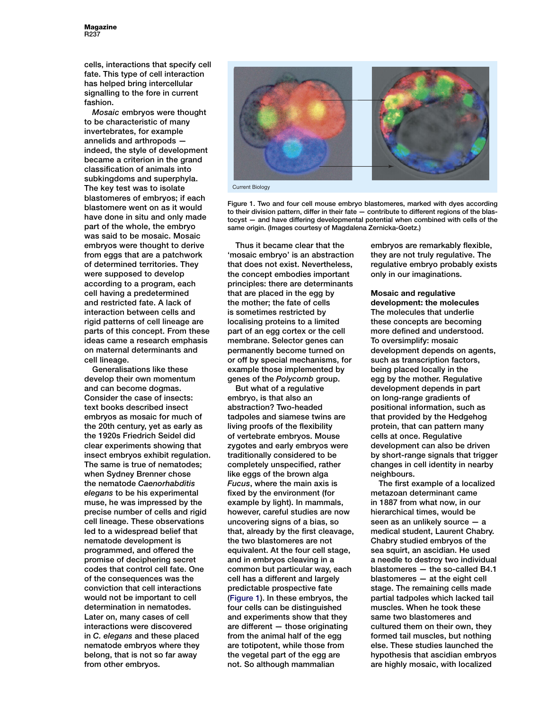cells, interactions that specify cell fate. This type of cell interaction has helped bring intercellular signalling to the fore in current fashion.

*Mosaic* embryos were thought to be characteristic of many invertebrates, for example annelids and arthropods indeed, the style of development became a criterion in the grand classification of animals into subkingdoms and superphyla. The key test was to isolate blastomeres of embryos; if each blastomere went on as it would have done in situ and only made part of the whole, the embryo was said to be mosaic. Mosaic embryos were thought to derive from eggs that are a patchwork of determined territories. They were supposed to develop according to a program, each cell having a predetermined and restricted fate. A lack of interaction between cells and rigid patterns of cell lineage are parts of this concept. From these ideas came a research emphasis on maternal determinants and cell lineage.

Generalisations like these develop their own momentum and can become dogmas. Consider the case of insects: text books described insect embryos as mosaic for much of the 20th century, yet as early as the 1920s Friedrich Seidel did clear experiments showing that insect embryos exhibit regulation. The same is true of nematodes; when Sydney Brenner chose the nematode *Caenorhabditis elegans* to be his experimental muse, he was impressed by the precise number of cells and rigid cell lineage. These observations led to a widespread belief that nematode development is programmed, and offered the promise of deciphering secret codes that control cell fate. One of the consequences was the conviction that cell interactions would not be important to cell determination in nematodes. Later on, many cases of cell interactions were discovered in *C. elegans* and these placed nematode embryos where they belong, that is not so far away from other embryos.



Current Biology

Figure 1. Two and four cell mouse embryo blastomeres, marked with dyes according to their division pattern, differ in their fate — contribute to different regions of the blastocyst — and have differing developmental potential when combined with cells of the same origin. (Images courtesy of Magdalena Zernicka-Goetz.)

Thus it became clear that the 'mosaic embryo' is an abstraction that does not exist. Nevertheless, the concept embodies important principles: there are determinants that are placed in the egg by the mother; the fate of cells is sometimes restricted by localising proteins to a limited part of an egg cortex or the cell membrane. Selector genes can permanently become turned on or off by special mechanisms, for example those implemented by genes of the *Polycomb* group.

But what of a regulative embryo, is that also an abstraction? Two-headed tadpoles and siamese twins are living proofs of the flexibility of vertebrate embryos. Mouse zygotes and early embryos were traditionally considered to be completely unspecified, rather like eggs of the brown alga *Fucus*, where the main axis is fixed by the environment (for example by light). In mammals, however, careful studies are now uncovering signs of a bias, so that, already by the first cleavage, the two blastomeres are not equivalent. At the four cell stage, and in embryos cleaving in a common but particular way, each cell has a different and largely predictable prospective fate (Figure 1). In these embryos, the four cells can be distinguished and experiments show that they are different — those originating from the animal half of the egg are totipotent, while those from the vegetal part of the egg are not. So although mammalian

embryos are remarkably flexible, they are not truly regulative. The regulative embryo probably exists only in our imaginations.

**Mosaic and regulative development: the molecules** The molecules that underlie these concepts are becoming more defined and understood. To oversimplify: mosaic development depends on agents, such as transcription factors, being placed locally in the egg by the mother. Regulative development depends in part on long-range gradients of positional information, such as that provided by the Hedgehog protein, that can pattern many cells at once. Regulative development can also be driven by short-range signals that trigger changes in cell identity in nearby neighbours.

The first example of a localized metazoan determinant came in 1887 from what now, in our hierarchical times, would be seen as an unlikely source — a medical student, Laurent Chabry. Chabry studied embryos of the sea squirt, an ascidian. He used a needle to destroy two individual blastomeres — the so-called B4.1 blastomeres — at the eight cell stage. The remaining cells made partial tadpoles which lacked tail muscles. When he took these same two blastomeres and cultured them on their own, they formed tail muscles, but nothing else. These studies launched the hypothesis that ascidian embryos are highly mosaic, with localized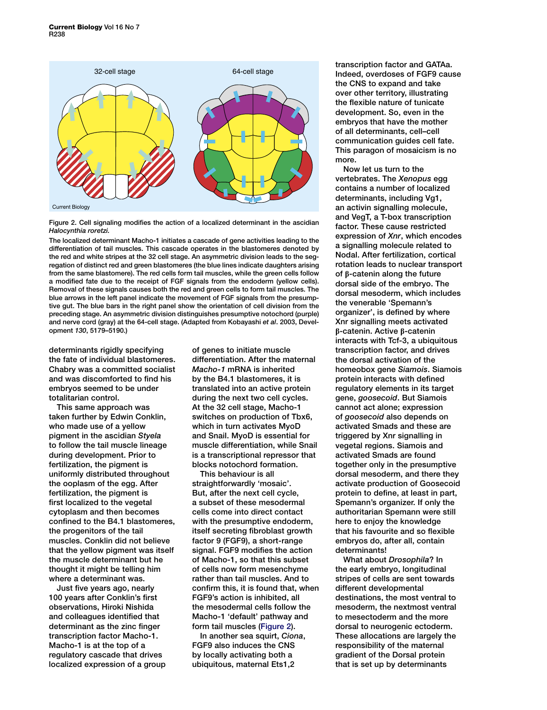

Figure 2. Cell signaling modifies the action of a localized determinant in the ascidian *Halocynthia roretzi.*

The localized determinant Macho-1 initiates a cascade of gene activities leading to the differentiation of tail muscles. This cascade operates in the blastomeres denoted by the red and white stripes at the 32 cell stage. An asymmetric division leads to the segregation of distinct red and green blastomeres (the blue lines indicate daughters arising from the same blastomere). The red cells form tail muscles, while the green cells follow a modified fate due to the receipt of FGF signals from the endoderm (yellow cells). Removal of these signals causes both the red and green cells to form tail muscles. The blue arrows in the left panel indicate the movement of FGF signals from the presumptive gut. The blue bars in the right panel show the orientation of cell division from the preceding stage. An asymmetric division distinguishes presumptive notochord (purple) and nerve cord (gray) at the 64-cell stage. (Adapted from Kobayashi *et al*. 2003, Development *130*, 5179–5190.)

determinants rigidly specifying the fate of individual blastomeres. Chabry was a committed socialist and was discomforted to find his embryos seemed to be under totalitarian control.

This same approach was taken further by Edwin Conklin, who made use of a yellow pigment in the ascidian *Styela* to follow the tail muscle lineage during development. Prior to fertilization, the pigment is uniformly distributed throughout the ooplasm of the egg. After fertilization, the pigment is first localized to the vegetal cytoplasm and then becomes confined to the B4.1 blastomeres, the progenitors of the tail muscles. Conklin did not believe that the yellow pigment was itself the muscle determinant but he thought it might be telling him where a determinant was.

Just five years ago, nearly 100 years after Conklin's first observations, Hiroki Nishida and colleagues identified that determinant as the zinc finger transcription factor Macho-1. Macho-1 is at the top of a regulatory cascade that drives localized expression of a group of genes to initiate muscle differentiation. After the maternal *Macho-1* mRNA is inherited by the B4.1 blastomeres, it is translated into an active protein during the next two cell cycles. At the 32 cell stage, Macho-1 switches on production of Tbx6, which in turn activates MyoD and Snail. MyoD is essential for muscle differentiation, while Snail is a transcriptional repressor that blocks notochord formation.

This behaviour is all straightforwardly 'mosaic'. But, after the next cell cycle, a subset of these mesodermal cells come into direct contact with the presumptive endoderm, itself secreting fibroblast growth factor 9 (FGF9), a short-range signal. FGF9 modifies the action of Macho-1, so that this subset of cells now form mesenchyme rather than tail muscles. And to confirm this, it is found that, when FGF9's action is inhibited, all the mesodermal cells follow the Macho-1 'default' pathway and form tail muscles (Figure 2).

In another sea squirt, *Ciona*, FGF9 also induces the CNS by locally activating both a ubiquitous, maternal Ets1,2

transcription factor and GATAa. Indeed, overdoses of FGF9 cause the CNS to expand and take over other territory, illustrating the flexible nature of tunicate development. So, even in the embryos that have the mother of all determinants, cell–cell communication guides cell fate. This paragon of mosaicism is no more.

Now let us turn to the vertebrates. The *Xenopus* egg contains a number of localized determinants, including Vg1, an activin signalling molecule, and VegT, a T-box transcription factor. These cause restricted expression of *Xnr*, which encodes a signalling molecule related to Nodal. After fertilization, cortical rotation leads to nuclear transport of **β**-catenin along the future dorsal side of the embryo. The dorsal mesoderm, which includes the venerable 'Spemann's organizer', is defined by where Xnr signalling meets activated **β**-catenin. Active **β**-catenin interacts with Tcf-3, a ubiquitous transcription factor, and drives the dorsal activation of the homeobox gene *Siamois*. Siamois protein interacts with defined regulatory elements in its target gene, *goosecoid*. But Siamois cannot act alone; expression of *goosecoid* also depends on activated Smads and these are triggered by Xnr signalling in vegetal regions. Siamois and activated Smads are found together only in the presumptive dorsal mesoderm, and there they activate production of Goosecoid protein to define, at least in part, Spemann's organizer. If only the authoritarian Spemann were still here to enjoy the knowledge that his favourite and so flexible embryos do, after all, contain determinants!

What about *Drosophila*? In the early embryo, longitudinal stripes of cells are sent towards different developmental destinations, the most ventral to mesoderm, the nextmost ventral to mesectoderm and the more dorsal to neurogenic ectoderm. These allocations are largely the responsibility of the maternal gradient of the Dorsal protein that is set up by determinants